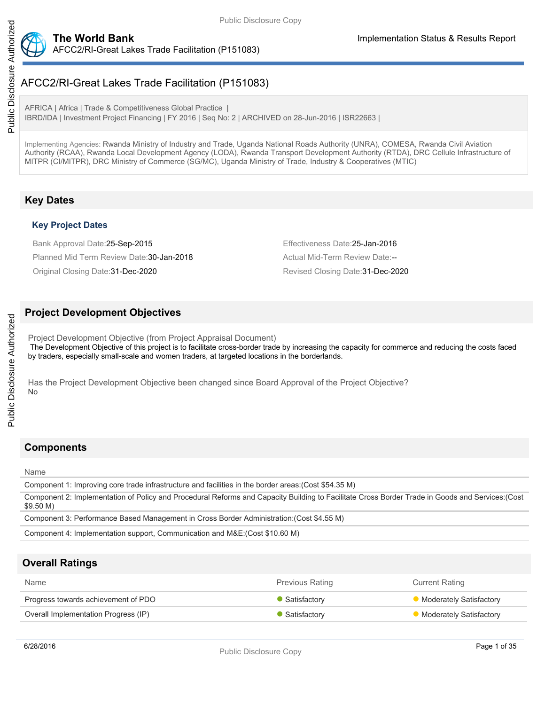

AFRICA | Africa | Trade & Competitiveness Global Practice | IBRD/IDA | Investment Project Financing | FY 2016 | Seq No: 2 | ARCHIVED on 28-Jun-2016 | ISR22663 |

Implementing Agencies: Rwanda Ministry of Industry and Trade, Uganda National Roads Authority (UNRA), COMESA, Rwanda Civil Aviation Authority (RCAA), Rwanda Local Development Agency (LODA), Rwanda Transport Development Authority (RTDA), DRC Cellule Infrastructure of MITPR (CI/MITPR), DRC Ministry of Commerce (SG/MC), Uganda Ministry of Trade, Industry & Cooperatives (MTIC)

# **Key Dates**

## **Key Project Dates**

Bank Approval Date:25-Sep-2015 Effectiveness Date:25-Jan-2016 Planned Mid Term Review Date: 30-Jan-2018 Actual Mid-Term Review Date:--Original Closing Date:31-Dec-2020 Revised Closing Date:31-Dec-2020

# **Project Development Objectives**

Project Development Objective (from Project Appraisal Document) The Development Objective of this project is to facilitate cross-border trade by increasing the capacity for commerce and reducing the costs faced by traders, especially small-scale and women traders, at targeted locations in the borderlands.

Has the Project Development Objective been changed since Board Approval of the Project Objective? No

# **Components**

#### Name

Component 1: Improving core trade infrastructure and facilities in the border areas:(Cost \$54.35 M) Component 2: Implementation of Policy and Procedural Reforms and Capacity Building to Facilitate Cross Border Trade in Goods and Services:(Cost \$9.50 M)

Component 3: Performance Based Management in Cross Border Administration:(Cost \$4.55 M)

Component 4: Implementation support, Communication and M&E:(Cost \$10.60 M)

# **Overall Ratings**

| Name                                 | <b>Previous Rating</b> | <b>Current Rating</b>          |
|--------------------------------------|------------------------|--------------------------------|
| Progress towards achievement of PDO  | • Satisfactory         | Moderately Satisfactory        |
| Overall Implementation Progress (IP) | • Satisfactory         | <b>Moderately Satisfactory</b> |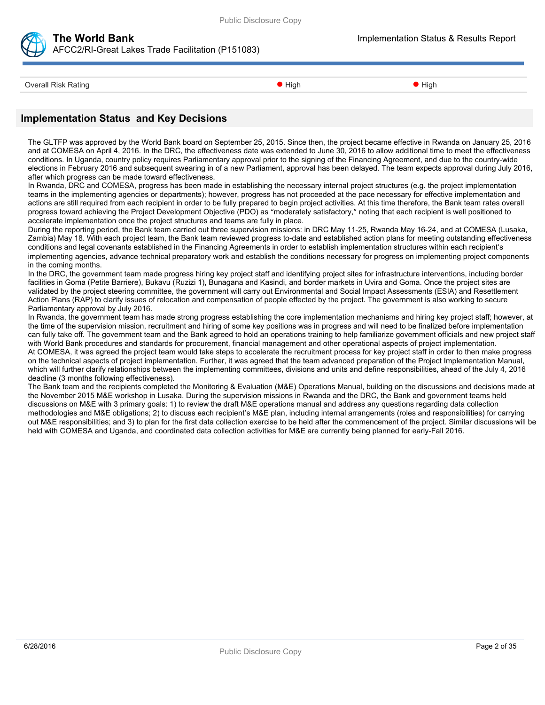



## **The World Bank Implementation Status & Results Report** AFCC2/RI-Great Lakes Trade Facilitation (P151083)

Overall Risk Rating Number of Alliance Control of High Number of High Number of High Number of High Number of High

# **Implementation Status and Key Decisions**

The GLTFP was approved by the World Bank board on September 25, 2015. Since then, the project became effective in Rwanda on January 25, 2016 and at COMESA on April 4, 2016. In the DRC, the effectiveness date was extended to June 30, 2016 to allow additional time to meet the effectiveness conditions. In Uganda, country policy requires Parliamentary approval prior to the signing of the Financing Agreement, and due to the country-wide elections in February 2016 and subsequent swearing in of a new Parliament, approval has been delayed. The team expects approval during July 2016, after which progress can be made toward effectiveness.

In Rwanda, DRC and COMESA, progress has been made in establishing the necessary internal project structures (e.g. the project implementation teams in the implementing agencies or departments); however, progress has not proceeded at the pace necessary for effective implementation and actions are still required from each recipient in order to be fully prepared to begin project activities. At this time therefore, the Bank team rates overall progress toward achieving the Project Development Objective (PDO) as "moderately satisfactory," noting that each recipient is well positioned to accelerate implementation once the project structures and teams are fully in place.

During the reporting period, the Bank team carried out three supervision missions: in DRC May 11-25, Rwanda May 16-24, and at COMESA (Lusaka, Zambia) May 18. With each project team, the Bank team reviewed progress to-date and established action plans for meeting outstanding effectiveness conditions and legal covenants established in the Financing Agreements in order to establish implementation structures within each recipient's implementing agencies, advance technical preparatory work and establish the conditions necessary for progress on implementing project components in the coming months.

In the DRC, the government team made progress hiring key project staff and identifying project sites for infrastructure interventions, including border facilities in Goma (Petite Barriere), Bukavu (Ruzizi 1), Bunagana and Kasindi, and border markets in Uvira and Goma. Once the project sites are validated by the project steering committee, the government will carry out Environmental and Social Impact Assessments (ESIA) and Resettlement Action Plans (RAP) to clarify issues of relocation and compensation of people effected by the project. The government is also working to secure Parliamentary approval by July 2016.

In Rwanda, the government team has made strong progress establishing the core implementation mechanisms and hiring key project staff; however, at the time of the supervision mission, recruitment and hiring of some key positions was in progress and will need to be finalized before implementation can fully take off. The government team and the Bank agreed to hold an operations training to help familiarize government officials and new project staff with World Bank procedures and standards for procurement, financial management and other operational aspects of project implementation. At COMESA, it was agreed the project team would take steps to accelerate the recruitment process for key project staff in order to then make progress on the technical aspects of project implementation. Further, it was agreed that the team advanced preparation of the Project Implementation Manual, which will further clarify relationships between the implementing committees, divisions and units and define responsibilities, ahead of the July 4, 2016 deadline (3 months following effectiveness).

The Bank team and the recipients completed the Monitoring & Evaluation (M&E) Operations Manual, building on the discussions and decisions made at the November 2015 M&E workshop in Lusaka. During the supervision missions in Rwanda and the DRC, the Bank and government teams held discussions on M&E with 3 primary goals: 1) to review the draft M&E operations manual and address any questions regarding data collection methodologies and M&E obligations; 2) to discuss each recipient's M&E plan, including internal arrangements (roles and responsibilities) for carrying out M&E responsibilities; and 3) to plan for the first data collection exercise to be held after the commencement of the project. Similar discussions will be held with COMESA and Uganda, and coordinated data collection activities for M&E are currently being planned for early-Fall 2016.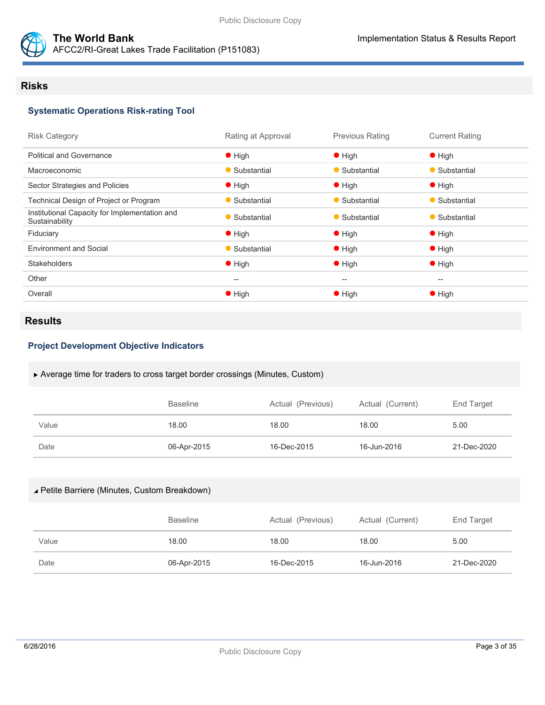



## **Risks**

## **Systematic Operations Risk-rating Tool**

| <b>Risk Category</b>                                            | Rating at Approval                                  | <b>Previous Rating</b>                              | <b>Current Rating</b> |
|-----------------------------------------------------------------|-----------------------------------------------------|-----------------------------------------------------|-----------------------|
| <b>Political and Governance</b>                                 | $\bullet$ High                                      | $\bullet$ High                                      | $\bullet$ High        |
| Macroeconomic                                                   | • Substantial                                       | • Substantial                                       | • Substantial         |
| Sector Strategies and Policies                                  | $\bullet$ High                                      | $\bullet$ High                                      | $\bullet$ High        |
| Technical Design of Project or Program                          | • Substantial                                       | • Substantial                                       | • Substantial         |
| Institutional Capacity for Implementation and<br>Sustainability | • Substantial                                       | • Substantial                                       | • Substantial         |
| Fiduciary                                                       | $\bullet$ High                                      | $\bullet$ High                                      | $\bullet$ High        |
| <b>Environment and Social</b>                                   | • Substantial                                       | $\bullet$ High                                      | $\bullet$ High        |
| <b>Stakeholders</b>                                             | $\bullet$ High                                      | $\bullet$ High                                      | $\bullet$ High        |
| Other                                                           | $\hspace{0.05cm} -\hspace{0.05cm} -\hspace{0.05cm}$ | $\hspace{0.05cm} -\hspace{0.05cm} -\hspace{0.05cm}$ | $--$                  |
| Overall                                                         | $\bullet$ High                                      | $\bullet$ High                                      | $\bullet$ High        |
|                                                                 |                                                     |                                                     |                       |

# **Results**

## **Project Development Objective Indicators**

#### Average time for traders to cross target border crossings (Minutes, Custom)

|       | <b>Baseline</b> | Actual (Previous) | Actual (Current) | End Target  |
|-------|-----------------|-------------------|------------------|-------------|
| Value | 18.00           | 18.00             | 18.00            | 5.00        |
| Date  | 06-Apr-2015     | 16-Dec-2015       | 16-Jun-2016      | 21-Dec-2020 |

#### Petite Barriere (Minutes, Custom Breakdown)

|       | <b>Baseline</b> | Actual (Previous) | Actual (Current) | End Target  |
|-------|-----------------|-------------------|------------------|-------------|
| Value | 18.00           | 18.00             | 18.00            | 5.00        |
| Date  | 06-Apr-2015     | 16-Dec-2015       | 16-Jun-2016      | 21-Dec-2020 |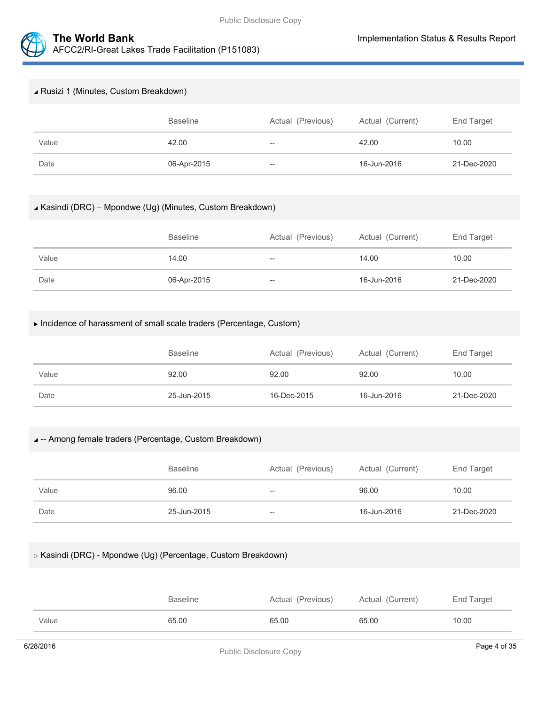

#### Rusizi 1 (Minutes, Custom Breakdown)

|       | <b>Baseline</b> | Actual (Previous) | Actual (Current) | End Target  |
|-------|-----------------|-------------------|------------------|-------------|
| Value | 42.00           | $- -$             | 42.00            | 10.00       |
| Date  | 06-Apr-2015     | $- -$             | 16-Jun-2016      | 21-Dec-2020 |

#### Kasindi (DRC) – Mpondwe (Ug) (Minutes, Custom Breakdown)

|       | <b>Baseline</b> | Actual (Previous) | Actual (Current) | End Target  |
|-------|-----------------|-------------------|------------------|-------------|
| Value | 14.00           | $- -$             | 14.00            | 10.00       |
| Date  | 06-Apr-2015     | $- -$             | 16-Jun-2016      | 21-Dec-2020 |

## Incidence of harassment of small scale traders (Percentage, Custom)

|       | <b>Baseline</b> | Actual (Previous) | Actual (Current) | End Target  |
|-------|-----------------|-------------------|------------------|-------------|
| Value | 92.00           | 92.00             | 92.00            | 10.00       |
| Date  | 25-Jun-2015     | 16-Dec-2015       | 16-Jun-2016      | 21-Dec-2020 |

#### -- Among female traders (Percentage, Custom Breakdown)

|       | <b>Baseline</b> | Actual (Previous) | Actual (Current) | End Target  |
|-------|-----------------|-------------------|------------------|-------------|
| Value | 96.00           | $- -$             | 96.00            | 10.00       |
| Date  | 25-Jun-2015     | $-$               | 16-Jun-2016      | 21-Dec-2020 |

## $\triangleright$  Kasindi (DRC) - Mpondwe (Ug) (Percentage, Custom Breakdown)

|       | <b>Baseline</b> | Actual (Previous) | Actual (Current) | End Target |
|-------|-----------------|-------------------|------------------|------------|
| Value | 65.00           | 65.00             | 65.00            | 10.00      |
|       |                 |                   |                  |            |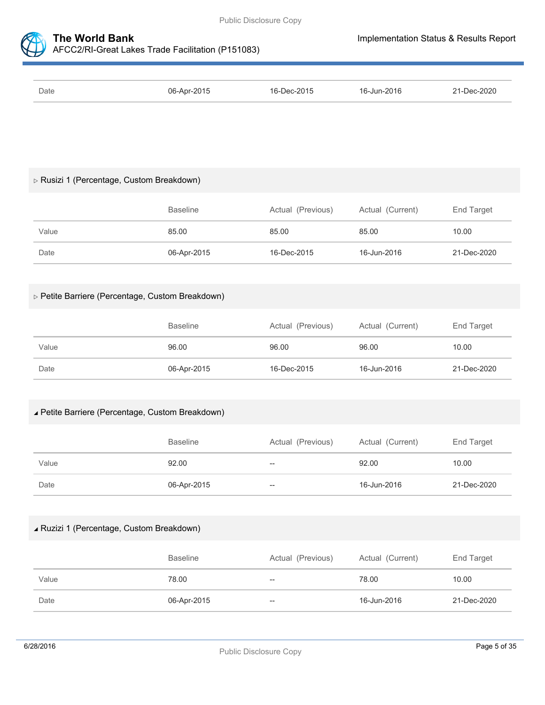



# AFCC2/RI-Great Lakes Trade Facilitation (P151083)

| Date | 06-Apr-2015 | 16-Dec-2015 | 16-Jun-2016 | 21-Dec-2020 |
|------|-------------|-------------|-------------|-------------|
|      |             |             |             |             |

## Rusizi 1 (Percentage, Custom Breakdown)

|       | <b>Baseline</b> | Actual (Previous) | Actual (Current) | End Target  |
|-------|-----------------|-------------------|------------------|-------------|
| Value | 85.00           | 85.00             | 85.00            | 10.00       |
| Date  | 06-Apr-2015     | 16-Dec-2015       | 16-Jun-2016      | 21-Dec-2020 |

## Petite Barriere (Percentage, Custom Breakdown)

|       | <b>Baseline</b> | Actual (Previous) | Actual (Current) | End Target  |
|-------|-----------------|-------------------|------------------|-------------|
| Value | 96.00           | 96.00             | 96.00            | 10.00       |
| Date  | 06-Apr-2015     | 16-Dec-2015       | 16-Jun-2016      | 21-Dec-2020 |

## Petite Barriere (Percentage, Custom Breakdown)

|       | <b>Baseline</b> | Actual (Previous) | Actual (Current) | End Target  |
|-------|-----------------|-------------------|------------------|-------------|
| Value | 92.00           | $- -$             | 92.00            | 10.00       |
| Date  | 06-Apr-2015     | $- -$             | 16-Jun-2016      | 21-Dec-2020 |

#### Ruzizi 1 (Percentage, Custom Breakdown)

|       | <b>Baseline</b> | Actual (Previous)        | Actual (Current) | End Target  |
|-------|-----------------|--------------------------|------------------|-------------|
| Value | 78.00           | $- -$                    | 78.00            | 10.00       |
| Date  | 06-Apr-2015     | $\overline{\phantom{m}}$ | 16-Jun-2016      | 21-Dec-2020 |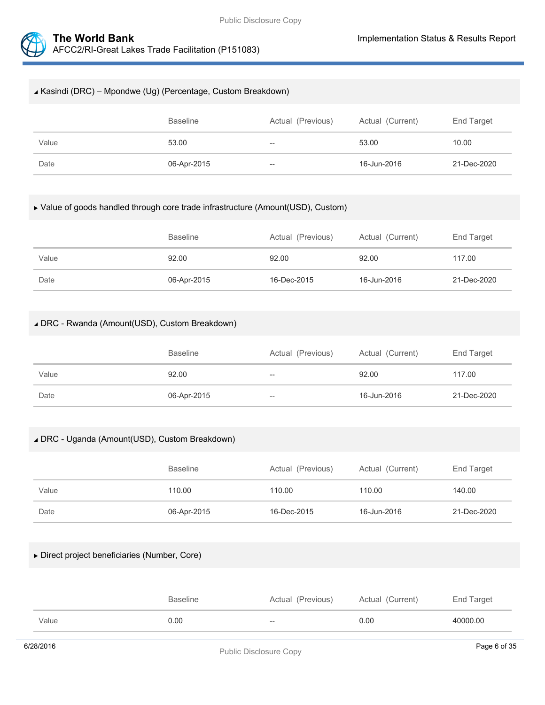

#### Kasindi (DRC) – Mpondwe (Ug) (Percentage, Custom Breakdown)

|       | <b>Baseline</b> | Actual (Previous)        | Actual (Current) | End Target  |
|-------|-----------------|--------------------------|------------------|-------------|
| Value | 53.00           | $\overline{\phantom{m}}$ | 53.00            | 10.00       |
| Date  | 06-Apr-2015     | $- -$                    | 16-Jun-2016      | 21-Dec-2020 |

#### Value of goods handled through core trade infrastructure (Amount(USD), Custom)

|       | <b>Baseline</b> | Actual (Previous) | Actual (Current) | End Target  |
|-------|-----------------|-------------------|------------------|-------------|
| Value | 92.00           | 92.00             | 92.00            | 117.00      |
| Date  | 06-Apr-2015     | 16-Dec-2015       | 16-Jun-2016      | 21-Dec-2020 |

## DRC - Rwanda (Amount(USD), Custom Breakdown)

|       | Baseline    | Actual (Previous) | Actual (Current) | End Target  |
|-------|-------------|-------------------|------------------|-------------|
| Value | 92.00       | $- -$             | 92.00            | 117.00      |
| Date  | 06-Apr-2015 | --                | 16-Jun-2016      | 21-Dec-2020 |

#### DRC - Uganda (Amount(USD), Custom Breakdown)

|       | <b>Baseline</b> | Actual (Previous) | Actual (Current) | End Target  |
|-------|-----------------|-------------------|------------------|-------------|
| Value | 110.00          | 110.00            | 110.00           | 140.00      |
| Date  | 06-Apr-2015     | 16-Dec-2015       | 16-Jun-2016      | 21-Dec-2020 |

## Direct project beneficiaries (Number, Core)

|       | <b>Baseline</b> | Actual (Previous) | Actual (Current) | End Target |
|-------|-----------------|-------------------|------------------|------------|
| Value | 0.00            | $- -$             | 0.00             | 40000.00   |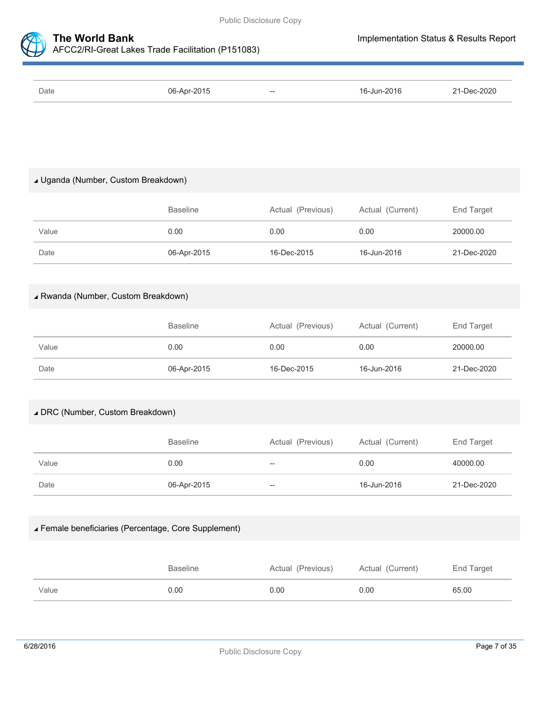



| Date  | 06-Apr-2015                         | $\hspace{0.05cm} -\hspace{0.05cm} -\hspace{0.05cm}$ | 16-Jun-2016      | 21-Dec-2020 |
|-------|-------------------------------------|-----------------------------------------------------|------------------|-------------|
|       |                                     |                                                     |                  |             |
|       |                                     |                                                     |                  |             |
|       |                                     |                                                     |                  |             |
|       |                                     |                                                     |                  |             |
|       |                                     |                                                     |                  |             |
|       | ⊿ Uganda (Number, Custom Breakdown) |                                                     |                  |             |
|       |                                     |                                                     |                  |             |
|       | <b>Baseline</b>                     | Actual (Previous)                                   | Actual (Current) | End Target  |
|       |                                     |                                                     |                  |             |
| Value | 0.00                                | 0.00                                                | 0.00             | 20000.00    |

| ∡ Rwanda (Number, Custom Breakdown) |
|-------------------------------------|
|                                     |

|       | <b>Baseline</b> | Actual (Previous) | Actual (Current) | End Target  |
|-------|-----------------|-------------------|------------------|-------------|
| Value | 0.00            | 0.00              | 0.00             | 20000.00    |
| Date  | 06-Apr-2015     | 16-Dec-2015       | 16-Jun-2016      | 21-Dec-2020 |

Date 06-Apr-2015 16-Dec-2015 16-Jun-2016 21-Dec-2020

## DRC (Number, Custom Breakdown)

|       | <b>Baseline</b> | Actual (Previous) | Actual (Current) | End Target  |
|-------|-----------------|-------------------|------------------|-------------|
| Value | 0.00            | $- -$             | 0.00             | 40000.00    |
| Date  | 06-Apr-2015     | $- -$             | 16-Jun-2016      | 21-Dec-2020 |

#### Female beneficiaries (Percentage, Core Supplement)

|       | <b>Baseline</b> | Actual (Previous) | Actual (Current) | End Target |
|-------|-----------------|-------------------|------------------|------------|
| Value | 0.00            | 0.00              | 0.00             | 65.00      |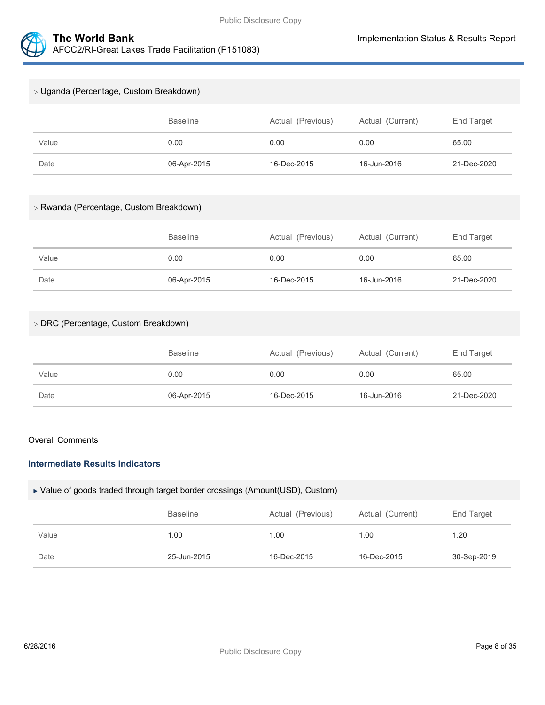

| ⊳ Uganda (Percentage, Custom Breakdown) |                 |                   |                  |                   |  |
|-----------------------------------------|-----------------|-------------------|------------------|-------------------|--|
|                                         | <b>Baseline</b> | Actual (Previous) | Actual (Current) | End Target        |  |
| Value                                   | 0.00            | 0.00              | 0.00             | 65.00             |  |
| Date                                    | 06-Apr-2015     | 16-Dec-2015       | 16-Jun-2016      | 21-Dec-2020       |  |
|                                         |                 |                   |                  |                   |  |
| ⊳ Rwanda (Percentage, Custom Breakdown) |                 |                   |                  |                   |  |
|                                         | <b>Baseline</b> | Actual (Previous) | Actual (Current) | <b>End Target</b> |  |

| 16-Dec-2015<br>21-Dec-2020<br>06-Apr-2015<br>Date<br>16-Jun-2016 | Value | 0.00 | 0.00 | 0.00 | 65.00 |
|------------------------------------------------------------------|-------|------|------|------|-------|
|                                                                  |       |      |      |      |       |

# DRC (Percentage, Custom Breakdown)

|       | <b>Baseline</b> | Actual (Previous) | Actual (Current) | End Target  |
|-------|-----------------|-------------------|------------------|-------------|
| Value | 0.00            | 0.00              | 0.00             | 65.00       |
| Date  | 06-Apr-2015     | 16-Dec-2015       | 16-Jun-2016      | 21-Dec-2020 |

#### Overall Comments

## **Intermediate Results Indicators**

| ► Value of goods traded through target border crossings (Amount(USD), Custom) |  |
|-------------------------------------------------------------------------------|--|
|-------------------------------------------------------------------------------|--|

|       | <b>Baseline</b> | Actual (Previous) | Actual (Current) | End Target  |
|-------|-----------------|-------------------|------------------|-------------|
| Value | 1.00            | 1.00              | 1.00             | 1.20        |
| Date  | 25-Jun-2015     | 16-Dec-2015       | 16-Dec-2015      | 30-Sep-2019 |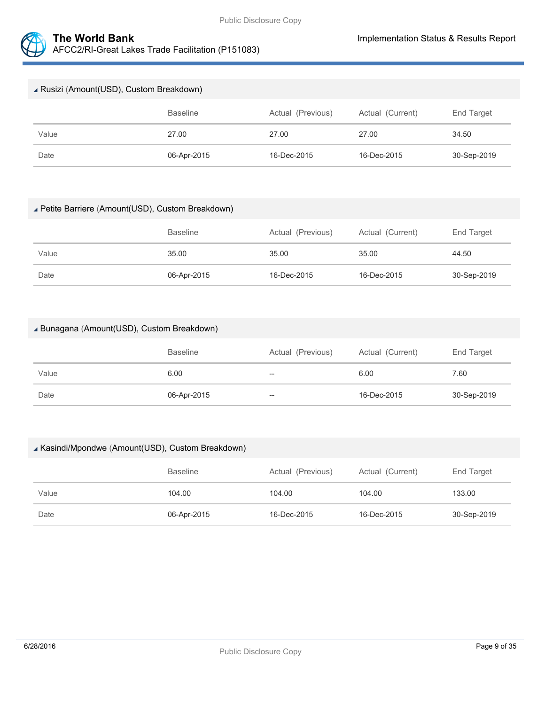



| ▲ Rusizi (Amount(USD), Custom Breakdown) |                 |                   |                  |             |
|------------------------------------------|-----------------|-------------------|------------------|-------------|
|                                          | <b>Baseline</b> | Actual (Previous) | Actual (Current) | End Target  |
| Value                                    | 27.00           | 27.00             | 27.00            | 34.50       |
| Date                                     | 06-Apr-2015     | 16-Dec-2015       | 16-Dec-2015      | 30-Sep-2019 |

## Petite Barriere (Amount(USD), Custom Breakdown)

|       | <b>Baseline</b> | Actual (Previous) | Actual (Current) | End Target  |
|-------|-----------------|-------------------|------------------|-------------|
| Value | 35.00           | 35.00             | 35.00            | 44.50       |
| Date  | 06-Apr-2015     | 16-Dec-2015       | 16-Dec-2015      | 30-Sep-2019 |

## Bunagana (Amount(USD), Custom Breakdown)

|       | <b>Baseline</b> | Actual (Previous) | Actual (Current) | End Target  |
|-------|-----------------|-------------------|------------------|-------------|
| Value | 6.00            | $- -$             | 6.00             | 7.60        |
| Date  | 06-Apr-2015     | $- -$             | 16-Dec-2015      | 30-Sep-2019 |

#### Kasindi/Mpondwe (Amount(USD), Custom Breakdown)

|       | <b>Baseline</b> | Actual (Previous) | Actual (Current) | End Target  |
|-------|-----------------|-------------------|------------------|-------------|
| Value | 104.00          | 104.00            | 104.00           | 133.00      |
| Date  | 06-Apr-2015     | 16-Dec-2015       | 16-Dec-2015      | 30-Sep-2019 |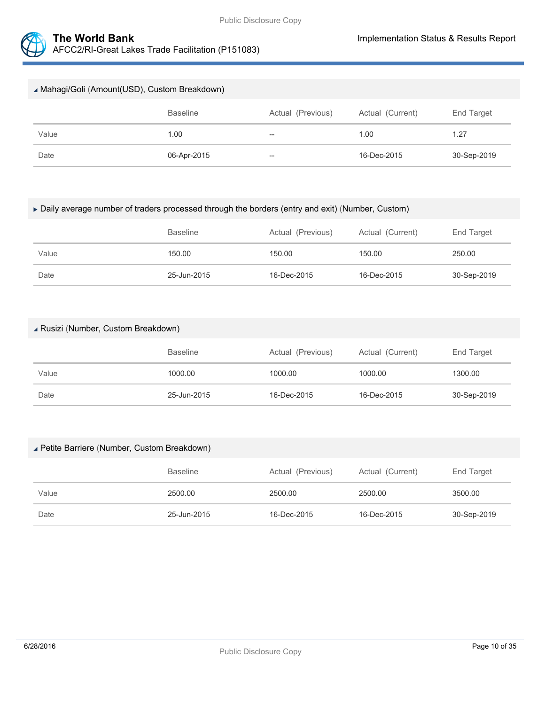



| ⊿ Mahagi/Goli (Amount(USD), Custom Breakdown) |                 |                   |                  |             |
|-----------------------------------------------|-----------------|-------------------|------------------|-------------|
|                                               | <b>Baseline</b> | Actual (Previous) | Actual (Current) | End Target  |
| Value                                         | 1.00            | $\hspace{0.05cm}$ | 1.00             | 1.27        |
| Date                                          | 06-Apr-2015     | $- -$             | 16-Dec-2015      | 30-Sep-2019 |

#### Daily average number of traders processed through the borders (entry and exit) (Number, Custom)

|       | <b>Baseline</b> | Actual (Previous) | Actual (Current) | End Target  |
|-------|-----------------|-------------------|------------------|-------------|
| Value | 150.00          | 150.00            | 150.00           | 250.00      |
| Date  | 25-Jun-2015     | 16-Dec-2015       | 16-Dec-2015      | 30-Sep-2019 |

## Rusizi (Number, Custom Breakdown)

|       | <b>Baseline</b> | Actual (Previous) | Actual (Current) | End Target  |
|-------|-----------------|-------------------|------------------|-------------|
| Value | 1000.00         | 1000.00           | 1000.00          | 1300.00     |
| Date  | 25-Jun-2015     | 16-Dec-2015       | 16-Dec-2015      | 30-Sep-2019 |

#### Petite Barriere (Number, Custom Breakdown)

|       | <b>Baseline</b> | Actual (Previous) | Actual (Current) | End Target  |
|-------|-----------------|-------------------|------------------|-------------|
| Value | 2500.00         | 2500.00           | 2500.00          | 3500.00     |
| Date  | 25-Jun-2015     | 16-Dec-2015       | 16-Dec-2015      | 30-Sep-2019 |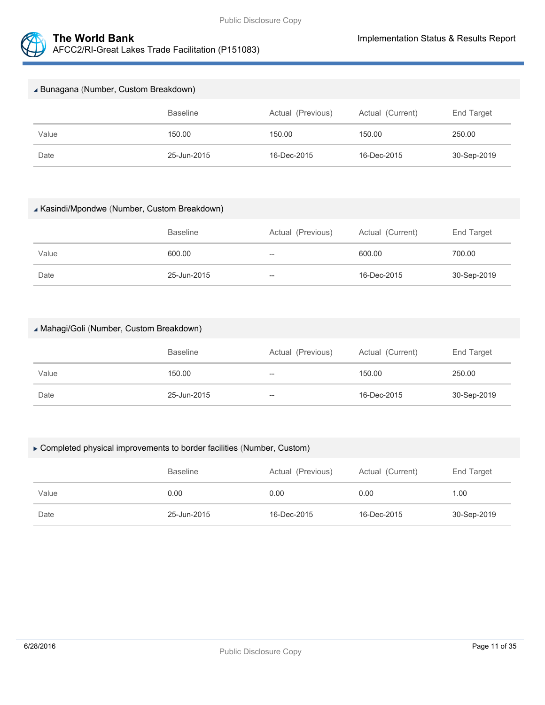

| ▲ Bunagana (Number, Custom Breakdown) |                 |                   |                  |             |  |
|---------------------------------------|-----------------|-------------------|------------------|-------------|--|
|                                       | <b>Baseline</b> | Actual (Previous) | Actual (Current) | End Target  |  |
| Value                                 | 150.00          | 150.00            | 150.00           | 250.00      |  |
| Date                                  | 25-Jun-2015     | 16-Dec-2015       | 16-Dec-2015      | 30-Sep-2019 |  |

#### Kasindi/Mpondwe (Number, Custom Breakdown)

|       | <b>Baseline</b> | Actual (Previous) | Actual (Current) | End Target  |
|-------|-----------------|-------------------|------------------|-------------|
| Value | 600.00          | $\hspace{0.05cm}$ | 600.00           | 700.00      |
| Date  | 25-Jun-2015     | $-\!$             | 16-Dec-2015      | 30-Sep-2019 |

## Mahagi/Goli (Number, Custom Breakdown)

|       | <b>Baseline</b> | Actual (Previous) | Actual (Current) | End Target  |
|-------|-----------------|-------------------|------------------|-------------|
| Value | 150.00          | $- -$             | 150.00           | 250.00      |
| Date  | 25-Jun-2015     | $- -$             | 16-Dec-2015      | 30-Sep-2019 |

#### Completed physical improvements to border facilities (Number, Custom)

|       | <b>Baseline</b> | Actual (Previous) | Actual (Current) | End Target  |
|-------|-----------------|-------------------|------------------|-------------|
| Value | 0.00            | 0.00              | 0.00             | 1.00        |
| Date  | 25-Jun-2015     | 16-Dec-2015       | 16-Dec-2015      | 30-Sep-2019 |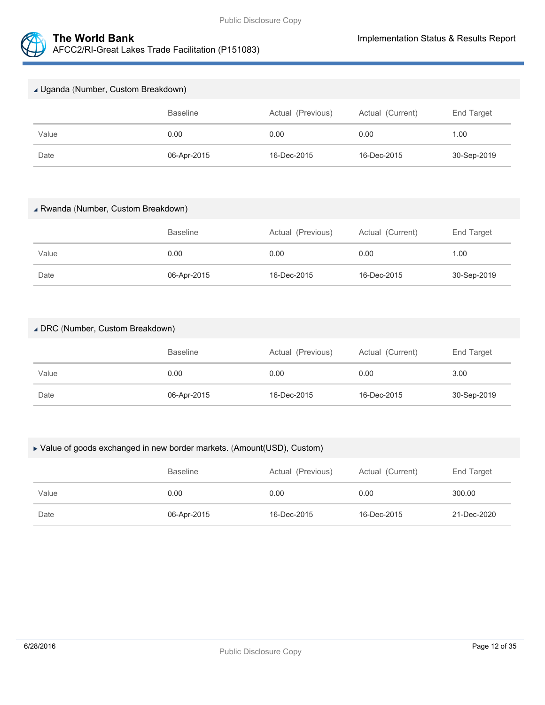

| ▲ Uganda (Number, Custom Breakdown) |                 |                   |                  |                   |  |
|-------------------------------------|-----------------|-------------------|------------------|-------------------|--|
|                                     | <b>Baseline</b> | Actual (Previous) | Actual (Current) | <b>End Target</b> |  |
| Value                               | 0.00            | 0.00              | 0.00             | 1.00              |  |
| Date                                | 06-Apr-2015     | 16-Dec-2015       | 16-Dec-2015      | 30-Sep-2019       |  |

## Rwanda (Number, Custom Breakdown)

|       | <b>Baseline</b> | Actual (Previous) | Actual (Current) | End Target  |
|-------|-----------------|-------------------|------------------|-------------|
| Value | 0.00            | 0.00              | 0.00             | 1.00        |
| Date  | 06-Apr-2015     | 16-Dec-2015       | 16-Dec-2015      | 30-Sep-2019 |

## DRC (Number, Custom Breakdown)

|       | <b>Baseline</b> | Actual (Previous) | Actual (Current) | End Target  |
|-------|-----------------|-------------------|------------------|-------------|
| Value | 0.00            | 0.00              | 0.00             | 3.00        |
| Date  | 06-Apr-2015     | 16-Dec-2015       | 16-Dec-2015      | 30-Sep-2019 |

## Value of goods exchanged in new border markets. (Amount(USD), Custom)

|       | <b>Baseline</b> | Actual (Previous) | Actual (Current) | End Target  |
|-------|-----------------|-------------------|------------------|-------------|
| Value | 0.00            | 0.00              | 0.00             | 300.00      |
| Date  | 06-Apr-2015     | 16-Dec-2015       | 16-Dec-2015      | 21-Dec-2020 |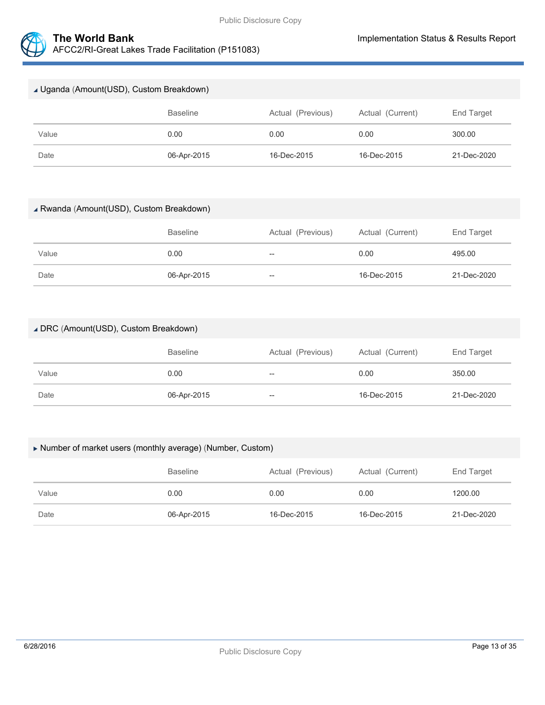



| ⊿ Uganda (Amount(USD), Custom Breakdown) |                 |                   |                  |             |  |
|------------------------------------------|-----------------|-------------------|------------------|-------------|--|
|                                          | <b>Baseline</b> | Actual (Previous) | Actual (Current) | End Target  |  |
| Value                                    | 0.00            | 0.00              | 0.00             | 300.00      |  |
| Date                                     | 06-Apr-2015     | 16-Dec-2015       | 16-Dec-2015      | 21-Dec-2020 |  |

#### Rwanda (Amount(USD), Custom Breakdown)

|       | <b>Baseline</b> | Actual (Previous)        | Actual (Current) | End Target  |
|-------|-----------------|--------------------------|------------------|-------------|
| Value | 0.00            | $\hspace{0.05cm}$        | 0.00             | 495.00      |
| Date  | 06-Apr-2015     | $\overline{\phantom{a}}$ | 16-Dec-2015      | 21-Dec-2020 |

## DRC (Amount(USD), Custom Breakdown)

|       | <b>Baseline</b> | Actual (Previous) | Actual (Current) | End Target  |
|-------|-----------------|-------------------|------------------|-------------|
| Value | 0.00            | $- -$             | 0.00             | 350.00      |
| Date  | 06-Apr-2015     | $\hspace{0.05cm}$ | 16-Dec-2015      | 21-Dec-2020 |

#### Number of market users (monthly average) (Number, Custom)

|       | <b>Baseline</b> | Actual (Previous) | Actual (Current) | End Target  |
|-------|-----------------|-------------------|------------------|-------------|
| Value | 0.00            | 0.00              | 0.00             | 1200.00     |
| Date  | 06-Apr-2015     | 16-Dec-2015       | 16-Dec-2015      | 21-Dec-2020 |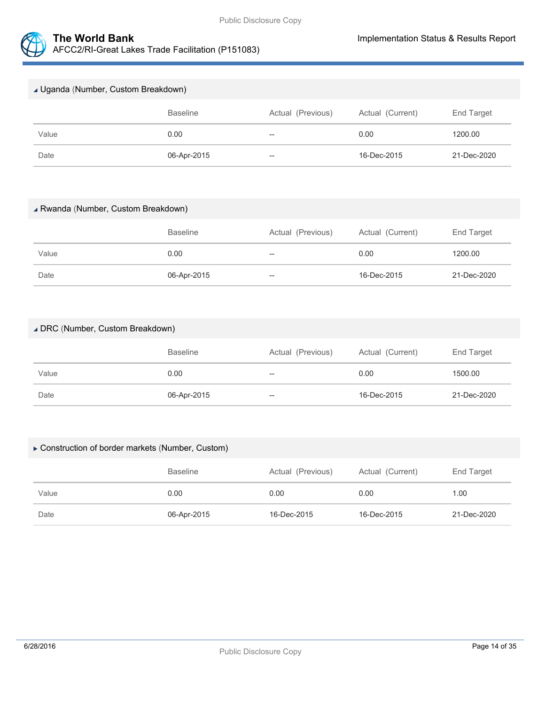

## Uganda (Number, Custom Breakdown)

|       | <b>Baseline</b> | Actual (Previous) | Actual (Current) | End Target  |
|-------|-----------------|-------------------|------------------|-------------|
| Value | 0.00            | $- -$             | 0.00             | 1200.00     |
| Date  | 06-Apr-2015     | $- -$             | 16-Dec-2015      | 21-Dec-2020 |

#### Rwanda (Number, Custom Breakdown)

|       | Baseline    | Actual (Previous) | Actual (Current) | End Target  |
|-------|-------------|-------------------|------------------|-------------|
| Value | 0.00        | $\hspace{0.05cm}$ | 0.00             | 1200.00     |
| Date  | 06-Apr-2015 | $-$               | 16-Dec-2015      | 21-Dec-2020 |

## DRC (Number, Custom Breakdown)

|       | <b>Baseline</b> | Actual (Previous) | Actual (Current) | End Target  |
|-------|-----------------|-------------------|------------------|-------------|
| Value | 0.00            | $- -$             | 0.00             | 1500.00     |
| Date  | 06-Apr-2015     | $- -$             | 16-Dec-2015      | 21-Dec-2020 |

#### Construction of border markets (Number, Custom)

|       | <b>Baseline</b> | Actual (Previous) | Actual (Current) | End Target  |
|-------|-----------------|-------------------|------------------|-------------|
| Value | 0.00            | 0.00              | 0.00             | 1.00        |
| Date  | 06-Apr-2015     | 16-Dec-2015       | 16-Dec-2015      | 21-Dec-2020 |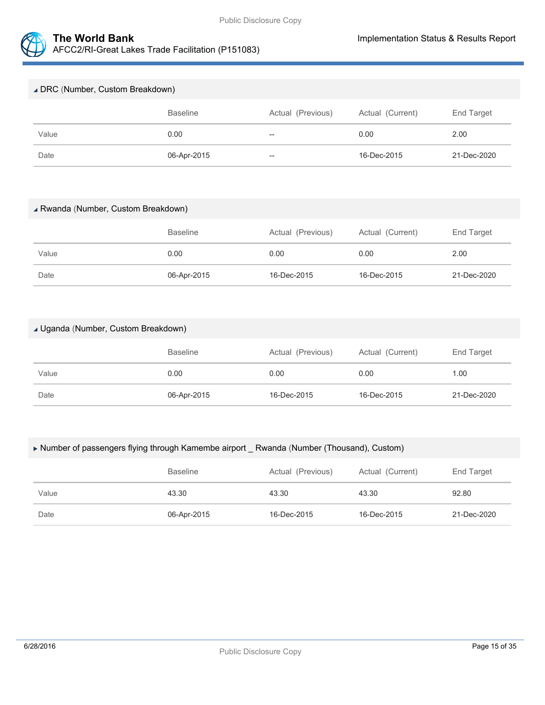

#### DRC (Number, Custom Breakdown)

|       | <b>Baseline</b> | Actual (Previous)        | Actual (Current) | End Target  |
|-------|-----------------|--------------------------|------------------|-------------|
| Value | 0.00            | $\overline{\phantom{a}}$ | 0.00             | 2.00        |
| Date  | 06-Apr-2015     | $\overline{\phantom{m}}$ | 16-Dec-2015      | 21-Dec-2020 |

#### Rwanda (Number, Custom Breakdown)

|       | <b>Baseline</b> | Actual (Previous) | Actual (Current) | End Target  |
|-------|-----------------|-------------------|------------------|-------------|
| Value | 0.00            | 0.00              | 0.00             | 2.00        |
| Date  | 06-Apr-2015     | 16-Dec-2015       | 16-Dec-2015      | 21-Dec-2020 |

## Uganda (Number, Custom Breakdown)

|       | <b>Baseline</b> | Actual (Previous) | Actual (Current) | End Target  |
|-------|-----------------|-------------------|------------------|-------------|
| Value | 0.00            | 0.00              | 0.00             | 1.00        |
| Date  | 06-Apr-2015     | 16-Dec-2015       | 16-Dec-2015      | 21-Dec-2020 |

#### Number of passengers flying through Kamembe airport \_ Rwanda (Number (Thousand), Custom)

|       | <b>Baseline</b> | Actual (Previous) | Actual (Current) | End Target  |
|-------|-----------------|-------------------|------------------|-------------|
| Value | 43.30           | 43.30             | 43.30            | 92.80       |
| Date  | 06-Apr-2015     | 16-Dec-2015       | 16-Dec-2015      | 21-Dec-2020 |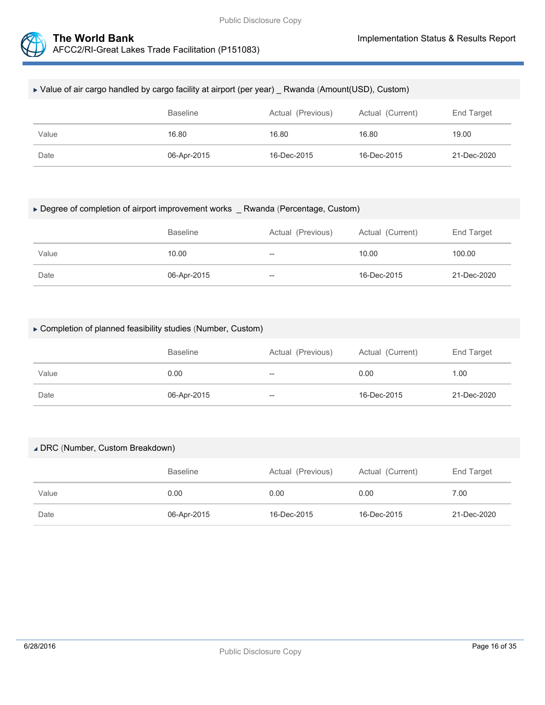



# Value of air cargo handled by cargo facility at airport (per year) \_ Rwanda (Amount(USD), Custom)

|       | Baseline    | Actual (Previous) | Actual (Current) | End Target  |
|-------|-------------|-------------------|------------------|-------------|
| Value | 16.80       | 16.80             | 16.80            | 19.00       |
| Date  | 06-Apr-2015 | 16-Dec-2015       | 16-Dec-2015      | 21-Dec-2020 |

#### ▶ Degree of completion of airport improvement works \_ Rwanda (Percentage, Custom)

|       | <b>Baseline</b> | Actual (Previous) | Actual (Current) | End Target  |
|-------|-----------------|-------------------|------------------|-------------|
| Value | 10.00           | $- -$             | 10.00            | 100.00      |
| Date  | 06-Apr-2015     | $\hspace{0.05cm}$ | 16-Dec-2015      | 21-Dec-2020 |

## Completion of planned feasibility studies (Number, Custom)

|       | <b>Baseline</b> | Actual (Previous) | Actual (Current) | End Target  |
|-------|-----------------|-------------------|------------------|-------------|
| Value | 0.00            | $\hspace{0.05cm}$ | 0.00             | 1.00        |
| Date  | 06-Apr-2015     | $-\!$             | 16-Dec-2015      | 21-Dec-2020 |

#### DRC (Number, Custom Breakdown)

|       | <b>Baseline</b> | Actual (Previous) | Actual (Current) | End Target  |
|-------|-----------------|-------------------|------------------|-------------|
| Value | 0.00            | 0.00              | 0.00             | 7.00        |
| Date  | 06-Apr-2015     | 16-Dec-2015       | 16-Dec-2015      | 21-Dec-2020 |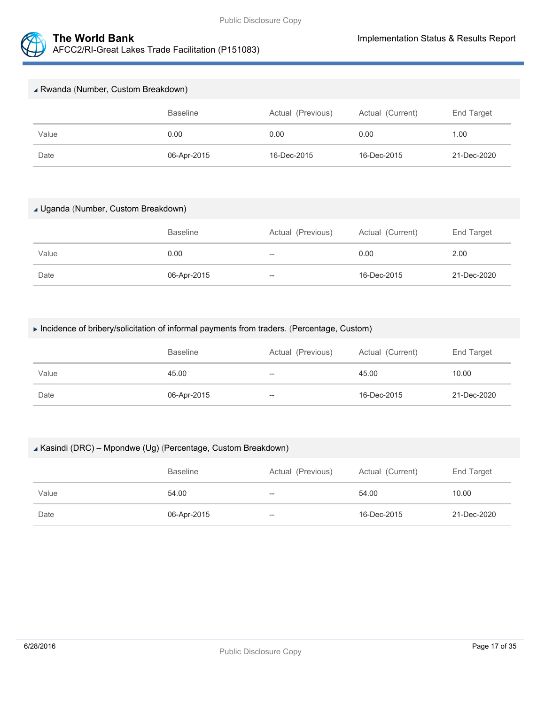

| ▲ Rwanda (Number, Custom Breakdown) |                 |                   |                  |                   |  |
|-------------------------------------|-----------------|-------------------|------------------|-------------------|--|
|                                     | <b>Baseline</b> | Actual (Previous) | Actual (Current) | <b>End Target</b> |  |
| Value                               | 0.00            | 0.00              | 0.00             | 1.00              |  |
| Date                                | 06-Apr-2015     | 16-Dec-2015       | 16-Dec-2015      | 21-Dec-2020       |  |

#### Uganda (Number, Custom Breakdown)

|       | <b>Baseline</b> | Actual (Previous) | Actual (Current) | End Target  |
|-------|-----------------|-------------------|------------------|-------------|
| Value | 0.00            | $- -$             | 0.00             | 2.00        |
| Date  | 06-Apr-2015     | $- -$             | 16-Dec-2015      | 21-Dec-2020 |

## Incidence of bribery/solicitation of informal payments from traders. (Percentage, Custom)

|       | <b>Baseline</b> | Actual (Previous) | Actual (Current) | End Target  |
|-------|-----------------|-------------------|------------------|-------------|
| Value | 45.00           | --                | 45.00            | 10.00       |
| Date  | 06-Apr-2015     | --                | 16-Dec-2015      | 21-Dec-2020 |

#### Kasindi (DRC) – Mpondwe (Ug) (Percentage, Custom Breakdown)

|       | <b>Baseline</b> | Actual (Previous) | Actual (Current) | End Target  |
|-------|-----------------|-------------------|------------------|-------------|
| Value | 54.00           | --                | 54.00            | 10.00       |
| Date  | 06-Apr-2015     | --                | 16-Dec-2015      | 21-Dec-2020 |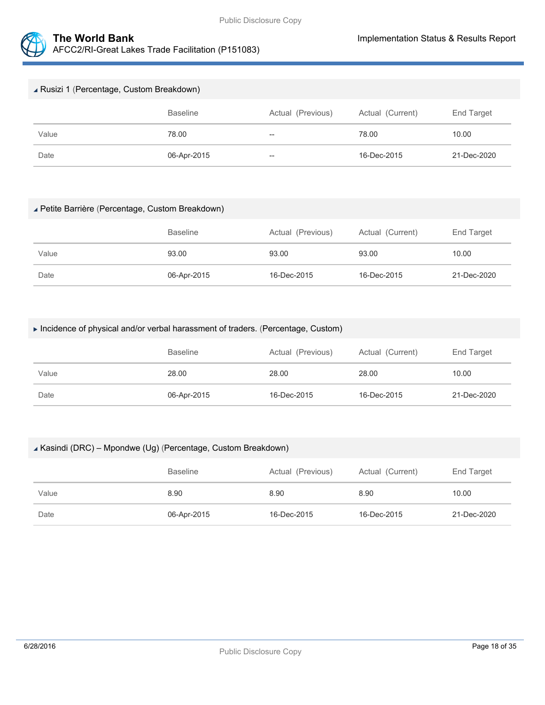

# Rusizi 1 (Percentage, Custom Breakdown) Baseline **Actual (Previous)** Actual (Current) End Target Value 78.00 -- 78.00 10.00 Date 06-Apr-2015 -- 16-Dec-2015 21-Dec-2020

## Petite Barrière (Percentage, Custom Breakdown)

|       | Baseline    | Actual (Previous) | Actual (Current) | End Target  |
|-------|-------------|-------------------|------------------|-------------|
| Value | 93.00       | 93.00             | 93.00            | 10.00       |
| Date  | 06-Apr-2015 | 16-Dec-2015       | 16-Dec-2015      | 21-Dec-2020 |

#### Incidence of physical and/or verbal harassment of traders. (Percentage, Custom)

|       | <b>Baseline</b> | Actual (Previous) | Actual (Current) | End Target  |
|-------|-----------------|-------------------|------------------|-------------|
| Value | 28.00           | 28.00             | 28.00            | 10.00       |
| Date  | 06-Apr-2015     | 16-Dec-2015       | 16-Dec-2015      | 21-Dec-2020 |

#### Kasindi (DRC) – Mpondwe (Ug) (Percentage, Custom Breakdown)

|       | <b>Baseline</b> | Actual (Previous) | Actual (Current) | End Target  |
|-------|-----------------|-------------------|------------------|-------------|
| Value | 8.90            | 8.90              | 8.90             | 10.00       |
| Date  | 06-Apr-2015     | 16-Dec-2015       | 16-Dec-2015      | 21-Dec-2020 |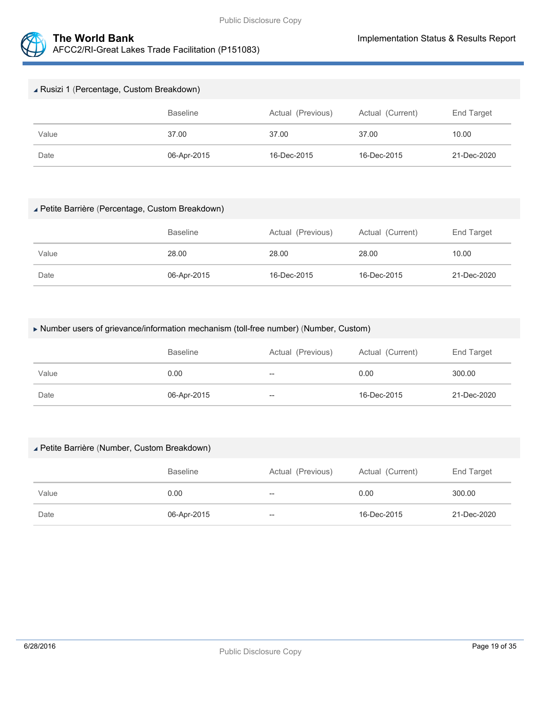



| ▲ Rusizi 1 (Percentage, Custom Breakdown) |                 |                   |                  |             |  |
|-------------------------------------------|-----------------|-------------------|------------------|-------------|--|
|                                           | <b>Baseline</b> | Actual (Previous) | Actual (Current) | End Target  |  |
| Value                                     | 37.00           | 37.00             | 37.00            | 10.00       |  |
| Date                                      | 06-Apr-2015     | 16-Dec-2015       | 16-Dec-2015      | 21-Dec-2020 |  |

#### Petite Barrière (Percentage, Custom Breakdown)

|       | <b>Baseline</b> | Actual (Previous) | Actual (Current) | End Target  |
|-------|-----------------|-------------------|------------------|-------------|
| Value | 28.00           | 28.00             | 28.00            | 10.00       |
| Date  | 06-Apr-2015     | 16-Dec-2015       | 16-Dec-2015      | 21-Dec-2020 |

## Number users of grievance/information mechanism (toll-free number) (Number, Custom)

|       | <b>Baseline</b> | Actual (Previous) | Actual (Current) | End Target  |
|-------|-----------------|-------------------|------------------|-------------|
| Value | 0.00            | $-\!$             | 0.00             | 300.00      |
| Date  | 06-Apr-2015     | $-\!$             | 16-Dec-2015      | 21-Dec-2020 |

#### Petite Barrière (Number, Custom Breakdown)

|       | <b>Baseline</b> | Actual (Previous) | Actual (Current) | End Target  |
|-------|-----------------|-------------------|------------------|-------------|
| Value | 0.00            | --                | 0.00             | 300.00      |
| Date  | 06-Apr-2015     | --                | 16-Dec-2015      | 21-Dec-2020 |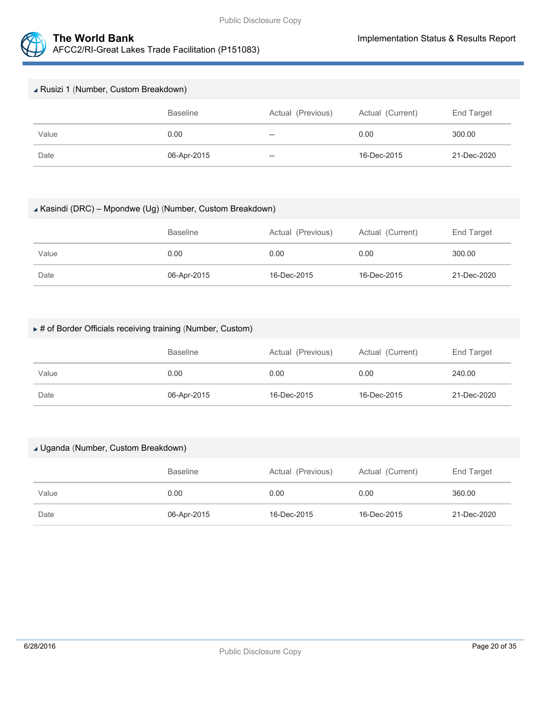

#### Rusizi 1 (Number, Custom Breakdown)

|       | <b>Baseline</b> | Actual (Previous) | Actual (Current) | End Target  |
|-------|-----------------|-------------------|------------------|-------------|
| Value | 0.00            | $- -$             | 0.00             | 300.00      |
| Date  | 06-Apr-2015     | $\qquad \qquad -$ | 16-Dec-2015      | 21-Dec-2020 |

#### Kasindi (DRC) – Mpondwe (Ug) (Number, Custom Breakdown)

|       | Baseline    | Actual (Previous) | Actual (Current) | End Target  |
|-------|-------------|-------------------|------------------|-------------|
| Value | 0.00        | 0.00              | 0.00             | 300.00      |
| Date  | 06-Apr-2015 | 16-Dec-2015       | 16-Dec-2015      | 21-Dec-2020 |

## $*$  # of Border Officials receiving training (Number, Custom)

|       | <b>Baseline</b> | Actual (Previous) | Actual (Current) | End Target  |
|-------|-----------------|-------------------|------------------|-------------|
| Value | 0.00            | 0.00              | 0.00             | 240.00      |
| Date  | 06-Apr-2015     | 16-Dec-2015       | 16-Dec-2015      | 21-Dec-2020 |

#### Uganda (Number, Custom Breakdown)

|       | <b>Baseline</b> | Actual (Previous) | Actual (Current) | End Target  |
|-------|-----------------|-------------------|------------------|-------------|
| Value | 0.00            | 0.00              | 0.00             | 360.00      |
| Date  | 06-Apr-2015     | 16-Dec-2015       | 16-Dec-2015      | 21-Dec-2020 |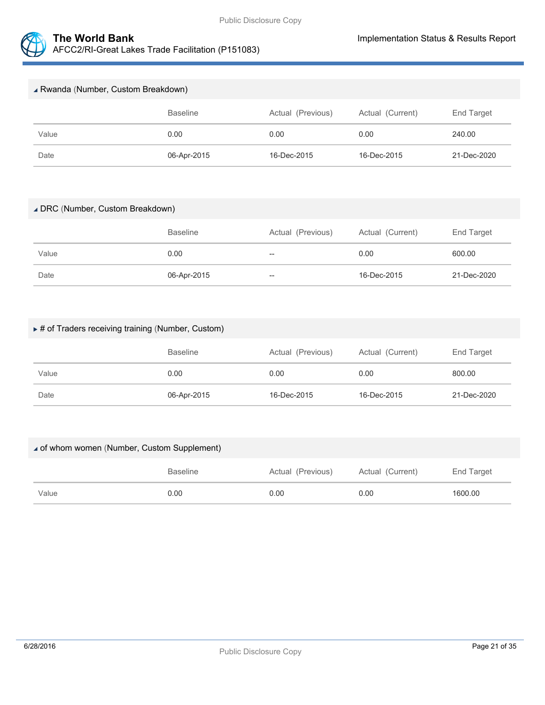

| ▲ Rwanda (Number, Custom Breakdown) |                 |                   |                  |             |
|-------------------------------------|-----------------|-------------------|------------------|-------------|
|                                     | <b>Baseline</b> | Actual (Previous) | Actual (Current) | End Target  |
| Value                               | 0.00            | 0.00              | 0.00             | 240.00      |
| Date                                | 06-Apr-2015     | 16-Dec-2015       | 16-Dec-2015      | 21-Dec-2020 |

# DRC (Number, Custom Breakdown)

|       | <b>Baseline</b> | Actual (Previous) | Actual (Current) | End Target  |
|-------|-----------------|-------------------|------------------|-------------|
| Value | 0.00            | --                | 0.00             | 600.00      |
| Date  | 06-Apr-2015     | $- -$             | 16-Dec-2015      | 21-Dec-2020 |

## $*$  # of Traders receiving training (Number, Custom)

|       | <b>Baseline</b> | Actual (Previous) | Actual (Current) | End Target  |
|-------|-----------------|-------------------|------------------|-------------|
| Value | 0.00            | 0.00              | 0.00             | 800.00      |
| Date  | 06-Apr-2015     | 16-Dec-2015       | 16-Dec-2015      | 21-Dec-2020 |

## of whom women (Number, Custom Supplement)

|       | Baseline | Actual (Previous) | Actual (Current) | End Target |
|-------|----------|-------------------|------------------|------------|
| Value | 0.00     | 0.00              | 0.00             | 1600.00    |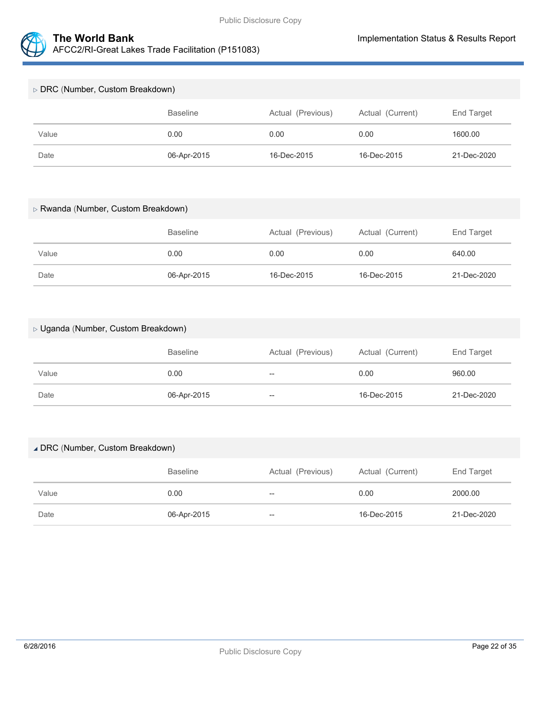

| $\triangleright$ DRC (Number, Custom Breakdown) |                 |                   |                  |             |  |
|-------------------------------------------------|-----------------|-------------------|------------------|-------------|--|
|                                                 | <b>Baseline</b> | Actual (Previous) | Actual (Current) | End Target  |  |
| Value                                           | 0.00            | 0.00              | 0.00             | 1600.00     |  |
| Date                                            | 06-Apr-2015     | 16-Dec-2015       | 16-Dec-2015      | 21-Dec-2020 |  |

#### Rwanda (Number, Custom Breakdown)

|       | <b>Baseline</b> | Actual (Previous) | Actual (Current) | End Target  |
|-------|-----------------|-------------------|------------------|-------------|
| Value | 0.00            | 0.00              | 0.00             | 640.00      |
| Date  | 06-Apr-2015     | 16-Dec-2015       | 16-Dec-2015      | 21-Dec-2020 |

## Uganda (Number, Custom Breakdown)

|       | <b>Baseline</b> | Actual (Previous) | Actual (Current) | End Target  |
|-------|-----------------|-------------------|------------------|-------------|
| Value | 0.00            | $- -$             | 0.00             | 960.00      |
| Date  | 06-Apr-2015     | $-\!$             | 16-Dec-2015      | 21-Dec-2020 |

#### DRC (Number, Custom Breakdown)

|       | <b>Baseline</b> | Actual (Previous) | Actual (Current) | End Target  |
|-------|-----------------|-------------------|------------------|-------------|
| Value | 0.00            | $- -$             | 0.00             | 2000.00     |
| Date  | 06-Apr-2015     | $\hspace{0.05cm}$ | 16-Dec-2015      | 21-Dec-2020 |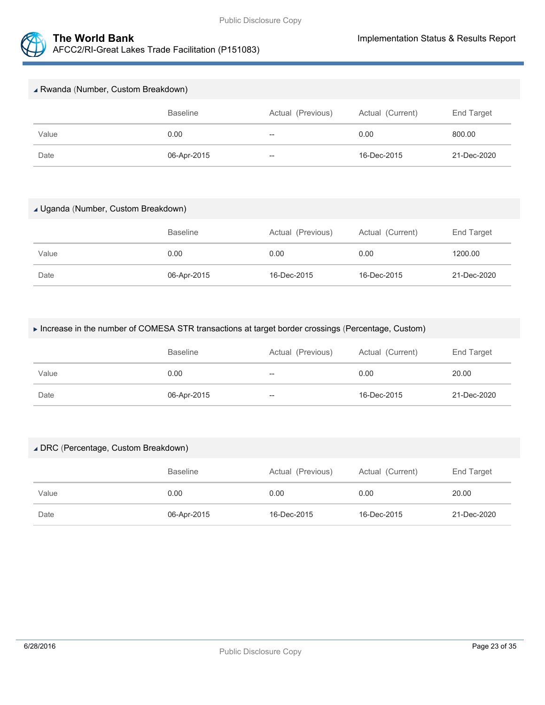

Rwanda (Number, Custom Breakdown)

|       | <b>Baseline</b> | Actual (Previous) | Actual (Current) | End Target  |
|-------|-----------------|-------------------|------------------|-------------|
| Value | 0.00            | $- -$             | 0.00             | 800.00      |
| Date  | 06-Apr-2015     | $- -$             | 16-Dec-2015      | 21-Dec-2020 |

#### Uganda (Number, Custom Breakdown)

|       | <b>Baseline</b> | Actual (Previous) | Actual (Current) | End Target  |
|-------|-----------------|-------------------|------------------|-------------|
| Value | 0.00            | 0.00              | 0.00             | 1200.00     |
| Date  | 06-Apr-2015     | 16-Dec-2015       | 16-Dec-2015      | 21-Dec-2020 |

## Increase in the number of COMESA STR transactions at target border crossings (Percentage, Custom)

|       | <b>Baseline</b> | Actual (Previous) | Actual (Current) | End Target  |
|-------|-----------------|-------------------|------------------|-------------|
| Value | 0.00            | $-\!$             | 0.00             | 20.00       |
| Date  | 06-Apr-2015     | $-\!$             | 16-Dec-2015      | 21-Dec-2020 |

#### DRC (Percentage, Custom Breakdown)

|       | <b>Baseline</b> | Actual (Previous) | Actual (Current) | End Target  |
|-------|-----------------|-------------------|------------------|-------------|
| Value | 0.00            | 0.00              | 0.00             | 20.00       |
| Date  | 06-Apr-2015     | 16-Dec-2015       | 16-Dec-2015      | 21-Dec-2020 |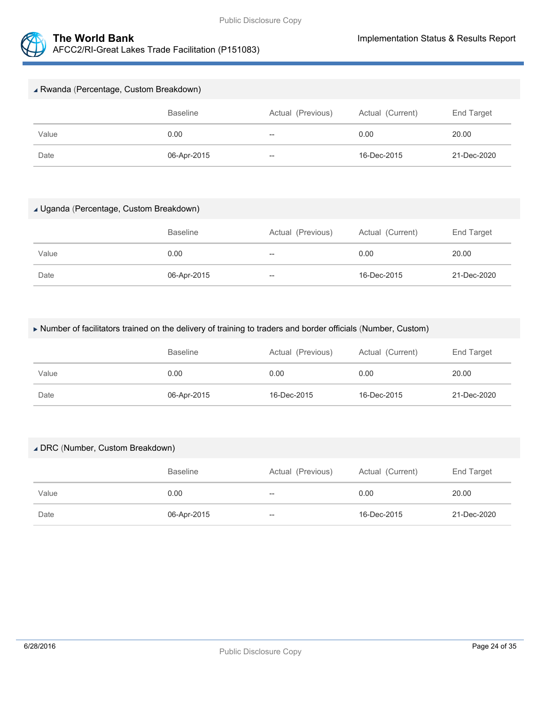

| ▲ Rwanda (Percentage, Custom Breakdown) |                 |                          |                  |             |
|-----------------------------------------|-----------------|--------------------------|------------------|-------------|
|                                         | <b>Baseline</b> | Actual (Previous)        | Actual (Current) | End Target  |
| Value                                   | 0.00            | $\overline{\phantom{m}}$ | 0.00             | 20.00       |
| Date                                    | 06-Apr-2015     | $\overline{\phantom{m}}$ | 16-Dec-2015      | 21-Dec-2020 |

## Uganda (Percentage, Custom Breakdown)

|       | <b>Baseline</b> | Actual (Previous) | Actual (Current) | End Target  |
|-------|-----------------|-------------------|------------------|-------------|
| Value | 0.00            | --                | 0.00             | 20.00       |
| Date  | 06-Apr-2015     | $\hspace{0.05cm}$ | 16-Dec-2015      | 21-Dec-2020 |

## Number of facilitators trained on the delivery of training to traders and border officials (Number, Custom)

|       | <b>Baseline</b> | Actual (Previous) | Actual (Current) | End Target  |
|-------|-----------------|-------------------|------------------|-------------|
| Value | 0.00            | 0.00              | 0.00             | 20.00       |
| Date  | 06-Apr-2015     | 16-Dec-2015       | 16-Dec-2015      | 21-Dec-2020 |

#### DRC (Number, Custom Breakdown)

|       | <b>Baseline</b> | Actual (Previous) | Actual (Current) | End Target  |
|-------|-----------------|-------------------|------------------|-------------|
| Value | 0.00            | $- -$             | 0.00             | 20.00       |
| Date  | 06-Apr-2015     | $-\!$             | 16-Dec-2015      | 21-Dec-2020 |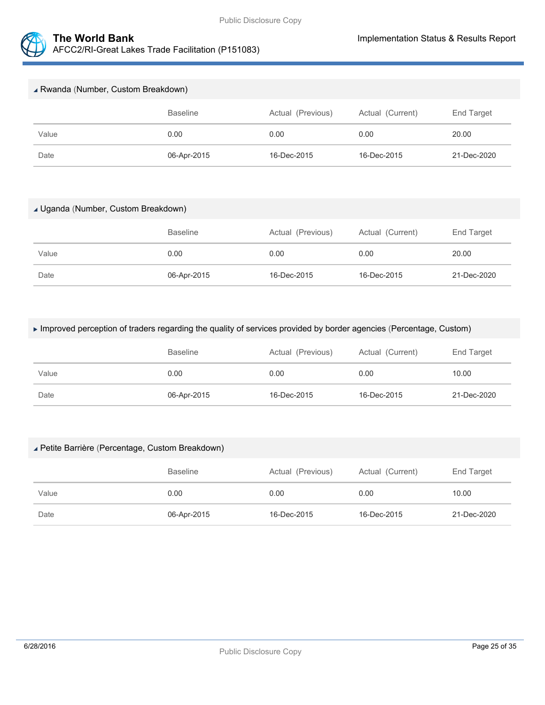

| ▲ Rwanda (Number, Custom Breakdown) |                 |                   |                  |             |
|-------------------------------------|-----------------|-------------------|------------------|-------------|
|                                     | <b>Baseline</b> | Actual (Previous) | Actual (Current) | End Target  |
| Value                               | 0.00            | 0.00              | 0.00             | 20.00       |
| Date                                | 06-Apr-2015     | 16-Dec-2015       | 16-Dec-2015      | 21-Dec-2020 |

## Uganda (Number, Custom Breakdown)

|       | <b>Baseline</b> | Actual (Previous) | Actual (Current) | End Target  |
|-------|-----------------|-------------------|------------------|-------------|
| Value | 0.00            | 0.00              | 0.00             | 20.00       |
| Date  | 06-Apr-2015     | 16-Dec-2015       | 16-Dec-2015      | 21-Dec-2020 |

# Improved perception of traders regarding the quality of services provided by border agencies (Percentage, Custom)

|       | <b>Baseline</b> | Actual (Previous) | Actual (Current) | End Target  |
|-------|-----------------|-------------------|------------------|-------------|
| Value | 0.00            | 0.00              | 0.00             | 10.00       |
| Date  | 06-Apr-2015     | 16-Dec-2015       | 16-Dec-2015      | 21-Dec-2020 |

## Petite Barrière (Percentage, Custom Breakdown)

|       | <b>Baseline</b> | Actual (Previous) | Actual (Current) | End Target  |
|-------|-----------------|-------------------|------------------|-------------|
| Value | 0.00            | 0.00              | 0.00             | 10.00       |
| Date  | 06-Apr-2015     | 16-Dec-2015       | 16-Dec-2015      | 21-Dec-2020 |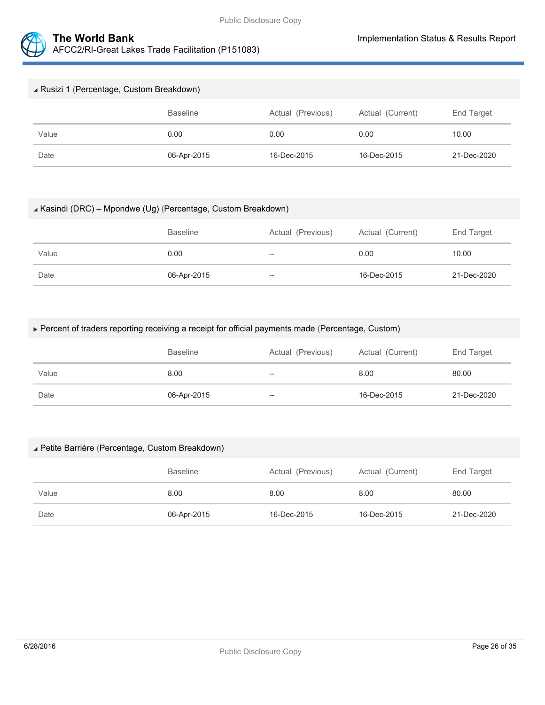



| ▲ Rusizi 1 (Percentage, Custom Breakdown) |                 |                   |                  |             |  |
|-------------------------------------------|-----------------|-------------------|------------------|-------------|--|
|                                           | <b>Baseline</b> | Actual (Previous) | Actual (Current) | End Target  |  |
| Value                                     | 0.00            | 0.00              | 0.00             | 10.00       |  |
| Date                                      | 06-Apr-2015     | 16-Dec-2015       | 16-Dec-2015      | 21-Dec-2020 |  |

#### Kasindi (DRC) – Mpondwe (Ug) (Percentage, Custom Breakdown)

|       | <b>Baseline</b> | Actual (Previous) | Actual (Current) | End Target  |
|-------|-----------------|-------------------|------------------|-------------|
| Value | 0.00            | $- -$             | 0.00             | 10.00       |
| Date  | 06-Apr-2015     | $- -$             | 16-Dec-2015      | 21-Dec-2020 |

## ▶ Percent of traders reporting receiving a receipt for official payments made (Percentage, Custom)

|       | <b>Baseline</b> | Actual (Previous) | Actual (Current) | End Target  |
|-------|-----------------|-------------------|------------------|-------------|
| Value | 8.00            | --                | 8.00             | 80.00       |
| Date  | 06-Apr-2015     | --                | 16-Dec-2015      | 21-Dec-2020 |

#### Petite Barrière (Percentage, Custom Breakdown)

|       | <b>Baseline</b> | Actual (Previous) | Actual (Current) | End Target  |
|-------|-----------------|-------------------|------------------|-------------|
| Value | 8.00            | 8.00              | 8.00             | 80.00       |
| Date  | 06-Apr-2015     | 16-Dec-2015       | 16-Dec-2015      | 21-Dec-2020 |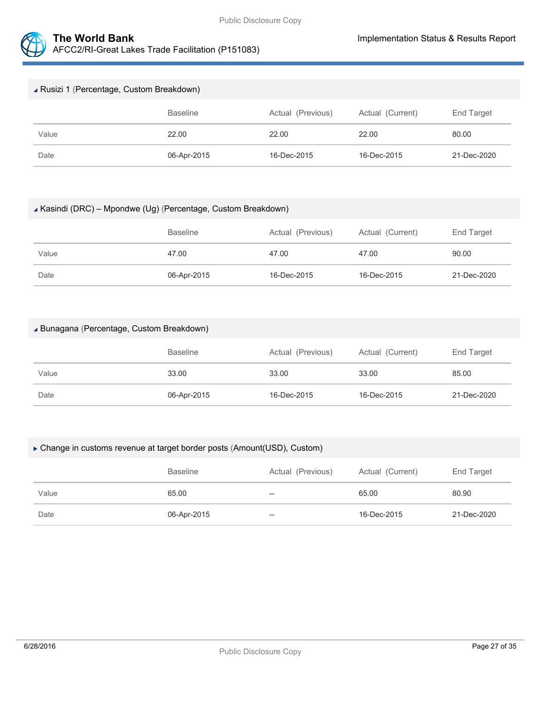



| ▲ Rusizi 1 (Percentage, Custom Breakdown) |                 |                   |                  |             |  |
|-------------------------------------------|-----------------|-------------------|------------------|-------------|--|
|                                           | <b>Baseline</b> | Actual (Previous) | Actual (Current) | End Target  |  |
| Value                                     | 22.00           | 22.00             | 22.00            | 80.00       |  |
| Date                                      | 06-Apr-2015     | 16-Dec-2015       | 16-Dec-2015      | 21-Dec-2020 |  |

## Kasindi (DRC) – Mpondwe (Ug) (Percentage, Custom Breakdown)

|       | <b>Baseline</b> | Actual (Previous) | Actual (Current) | End Target  |
|-------|-----------------|-------------------|------------------|-------------|
| Value | 47.00           | 47.00             | 47.00            | 90.00       |
| Date  | 06-Apr-2015     | 16-Dec-2015       | 16-Dec-2015      | 21-Dec-2020 |

## Bunagana (Percentage, Custom Breakdown)

|       | <b>Baseline</b> | Actual (Previous) | Actual (Current) | End Target  |
|-------|-----------------|-------------------|------------------|-------------|
| Value | 33.00           | 33.00             | 33.00            | 85.00       |
| Date  | 06-Apr-2015     | 16-Dec-2015       | 16-Dec-2015      | 21-Dec-2020 |

## Change in customs revenue at target border posts (Amount(USD), Custom)

|       | <b>Baseline</b> | Actual (Previous) | Actual (Current) | End Target  |
|-------|-----------------|-------------------|------------------|-------------|
| Value | 65.00           | $- -$             | 65.00            | 80.90       |
| Date  | 06-Apr-2015     | $-\!$             | 16-Dec-2015      | 21-Dec-2020 |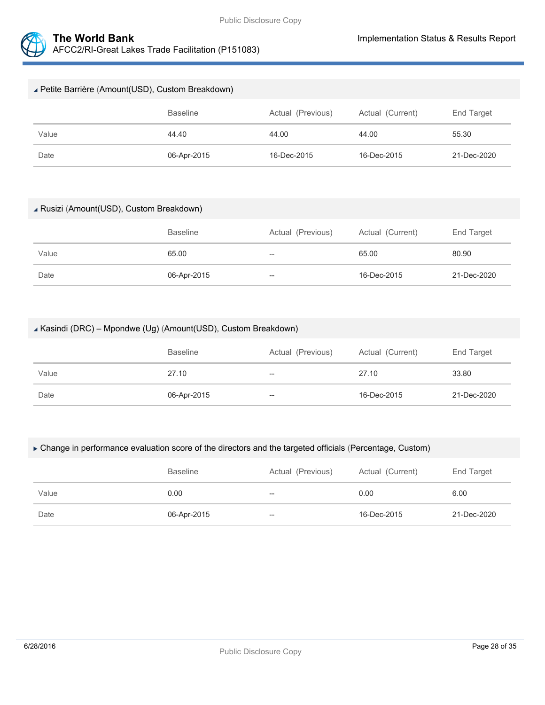



| ⊿ Petite Barrière (Amount(USD), Custom Breakdown) |                 |                   |                  |             |
|---------------------------------------------------|-----------------|-------------------|------------------|-------------|
|                                                   | <b>Baseline</b> | Actual (Previous) | Actual (Current) | End Target  |
| Value                                             | 44.40           | 44.00             | 44.00            | 55.30       |
| Date                                              | 06-Apr-2015     | 16-Dec-2015       | 16-Dec-2015      | 21-Dec-2020 |

#### Rusizi (Amount(USD), Custom Breakdown)

|       | <b>Baseline</b> | Actual (Previous) | Actual (Current) | End Target  |
|-------|-----------------|-------------------|------------------|-------------|
| Value | 65.00           | $- -$             | 65.00            | 80.90       |
| Date  | 06-Apr-2015     | $- -$             | 16-Dec-2015      | 21-Dec-2020 |

## Kasindi (DRC) – Mpondwe (Ug) (Amount(USD), Custom Breakdown)

|       | <b>Baseline</b> | Actual (Previous) | Actual (Current) | End Target  |
|-------|-----------------|-------------------|------------------|-------------|
| Value | 27.10           | $-\!$             | 27.10            | 33.80       |
| Date  | 06-Apr-2015     | $-\!$             | 16-Dec-2015      | 21-Dec-2020 |

#### Change in performance evaluation score of the directors and the targeted officials (Percentage, Custom)

|       | <b>Baseline</b> | Actual (Previous)        | Actual (Current) | End Target  |
|-------|-----------------|--------------------------|------------------|-------------|
| Value | 0.00            | $\overline{\phantom{a}}$ | 0.00             | 6.00        |
| Date  | 06-Apr-2015     | $\hspace{0.05cm}$        | 16-Dec-2015      | 21-Dec-2020 |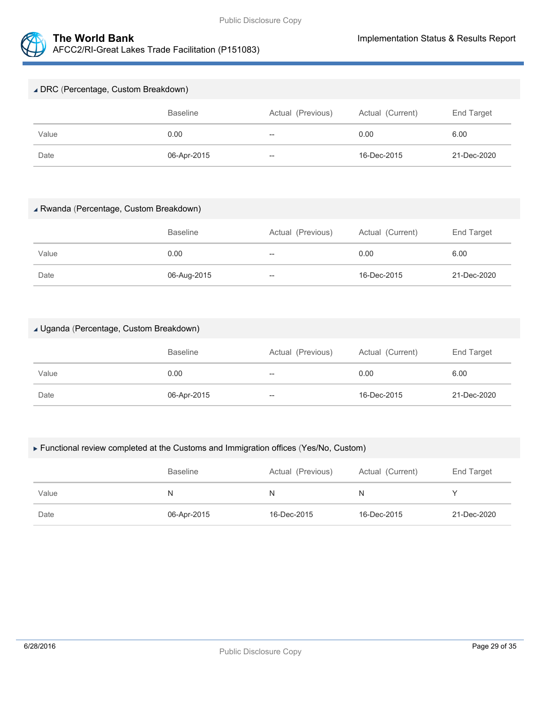

#### ▲ DRC (Percentage, Custom Breakdown)

|       | <b>Baseline</b> | Actual (Previous)        | Actual (Current) | End Target  |
|-------|-----------------|--------------------------|------------------|-------------|
| Value | 0.00            | $- -$                    | 0.00             | 6.00        |
| Date  | 06-Apr-2015     | $\overline{\phantom{m}}$ | 16-Dec-2015      | 21-Dec-2020 |

#### Rwanda (Percentage, Custom Breakdown)

|       | <b>Baseline</b> | Actual (Previous) | Actual (Current) | End Target  |
|-------|-----------------|-------------------|------------------|-------------|
| Value | 0.00            | $\hspace{0.05cm}$ | 0.00             | 6.00        |
| Date  | 06-Aug-2015     | $- -$             | 16-Dec-2015      | 21-Dec-2020 |

## Uganda (Percentage, Custom Breakdown)

|       | <b>Baseline</b> | Actual (Previous) | Actual (Current) | End Target  |
|-------|-----------------|-------------------|------------------|-------------|
| Value | 0.00            | --                | 0.00             | 6.00        |
| Date  | 06-Apr-2015     | --                | 16-Dec-2015      | 21-Dec-2020 |

#### Functional review completed at the Customs and Immigration offices (Yes/No, Custom)

|       | <b>Baseline</b> | Actual (Previous) | Actual (Current) | End Target  |
|-------|-----------------|-------------------|------------------|-------------|
| Value | N               | N                 | N                |             |
| Date  | 06-Apr-2015     | 16-Dec-2015       | 16-Dec-2015      | 21-Dec-2020 |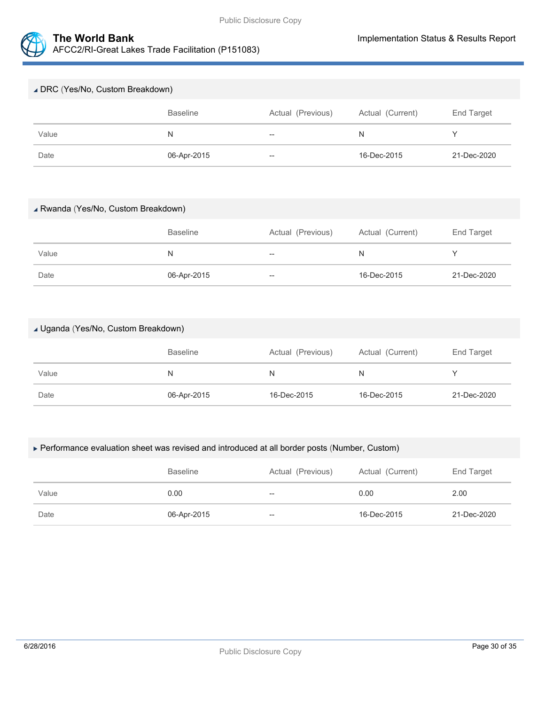

# DRC (Yes/No, Custom Breakdown)

|       | <b>Baseline</b> | Actual (Previous) | Actual (Current) | End Target  |
|-------|-----------------|-------------------|------------------|-------------|
| Value | N               | $- -$             | N                |             |
| Date  | 06-Apr-2015     | $- -$             | 16-Dec-2015      | 21-Dec-2020 |

## Rwanda (Yes/No, Custom Breakdown)

|       | <b>Baseline</b> | Actual (Previous) | Actual (Current) | End Target  |
|-------|-----------------|-------------------|------------------|-------------|
| Value | N               | $- -$             | N                |             |
| Date  | 06-Apr-2015     | $- -$             | 16-Dec-2015      | 21-Dec-2020 |

## Uganda (Yes/No, Custom Breakdown)

|       | <b>Baseline</b> | Actual (Previous) | Actual (Current) | End Target  |
|-------|-----------------|-------------------|------------------|-------------|
| Value | N               | N                 | N                |             |
| Date  | 06-Apr-2015     | 16-Dec-2015       | 16-Dec-2015      | 21-Dec-2020 |

#### Performance evaluation sheet was revised and introduced at all border posts (Number, Custom)

|       | <b>Baseline</b> | Actual (Previous) | Actual (Current) | End Target  |
|-------|-----------------|-------------------|------------------|-------------|
| Value | 0.00            | $-\!$             | 0.00             | 2.00        |
| Date  | 06-Apr-2015     | $-$               | 16-Dec-2015      | 21-Dec-2020 |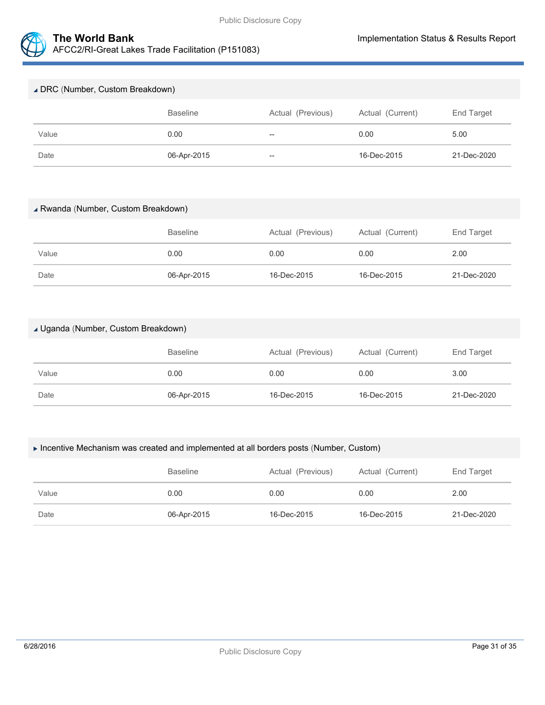

#### DRC (Number, Custom Breakdown)

|       | <b>Baseline</b> | Actual (Previous)        | Actual (Current) | End Target  |
|-------|-----------------|--------------------------|------------------|-------------|
| Value | 0.00            | $\overline{\phantom{a}}$ | 0.00             | 5.00        |
| Date  | 06-Apr-2015     | $\overline{\phantom{a}}$ | 16-Dec-2015      | 21-Dec-2020 |

#### Rwanda (Number, Custom Breakdown)

|       | <b>Baseline</b> | Actual (Previous) | Actual (Current) | End Target  |
|-------|-----------------|-------------------|------------------|-------------|
| Value | 0.00            | 0.00              | 0.00             | 2.00        |
| Date  | 06-Apr-2015     | 16-Dec-2015       | 16-Dec-2015      | 21-Dec-2020 |

## Uganda (Number, Custom Breakdown)

|       | <b>Baseline</b> | Actual (Previous) | Actual (Current) | End Target  |
|-------|-----------------|-------------------|------------------|-------------|
| Value | 0.00            | 0.00              | 0.00             | 3.00        |
| Date  | 06-Apr-2015     | 16-Dec-2015       | 16-Dec-2015      | 21-Dec-2020 |

#### Incentive Mechanism was created and implemented at all borders posts (Number, Custom)

|       | <b>Baseline</b> | Actual (Previous) | Actual (Current) | End Target  |
|-------|-----------------|-------------------|------------------|-------------|
| Value | 0.00            | 0.00              | 0.00             | 2.00        |
| Date  | 06-Apr-2015     | 16-Dec-2015       | 16-Dec-2015      | 21-Dec-2020 |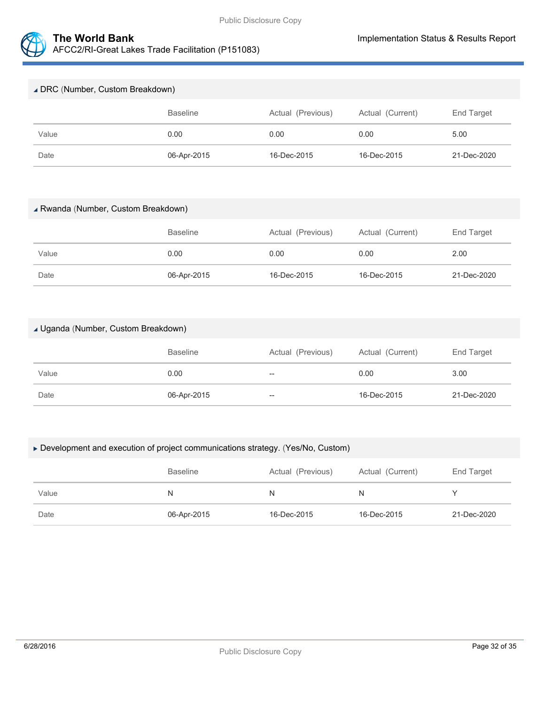

| DRC (Number, Custom Breakdown) |                 |                   |                  |             |  |  |  |
|--------------------------------|-----------------|-------------------|------------------|-------------|--|--|--|
|                                | <b>Baseline</b> | Actual (Previous) | Actual (Current) | End Target  |  |  |  |
| Value                          | 0.00            | 0.00              | 0.00             | 5.00        |  |  |  |
| Date                           | 06-Apr-2015     | 16-Dec-2015       | 16-Dec-2015      | 21-Dec-2020 |  |  |  |

#### Rwanda (Number, Custom Breakdown)

|       | <b>Baseline</b> | Actual (Previous) | Actual (Current) | End Target  |
|-------|-----------------|-------------------|------------------|-------------|
| Value | 0.00            | 0.00              | 0.00             | 2.00        |
| Date  | 06-Apr-2015     | 16-Dec-2015       | 16-Dec-2015      | 21-Dec-2020 |

## Uganda (Number, Custom Breakdown)

|       | <b>Baseline</b> | Actual (Previous) | Actual (Current) | End Target  |
|-------|-----------------|-------------------|------------------|-------------|
| Value | 0.00            | $-\!$             | 0.00             | 3.00        |
| Date  | 06-Apr-2015     | $\hspace{0.05cm}$ | 16-Dec-2015      | 21-Dec-2020 |

#### Development and execution of project communications strategy. (Yes/No, Custom)

|       | <b>Baseline</b> | Actual (Previous) |             | End Target  |  |
|-------|-----------------|-------------------|-------------|-------------|--|
| Value | N               | N                 | N           |             |  |
| Date  | 06-Apr-2015     | 16-Dec-2015       | 16-Dec-2015 | 21-Dec-2020 |  |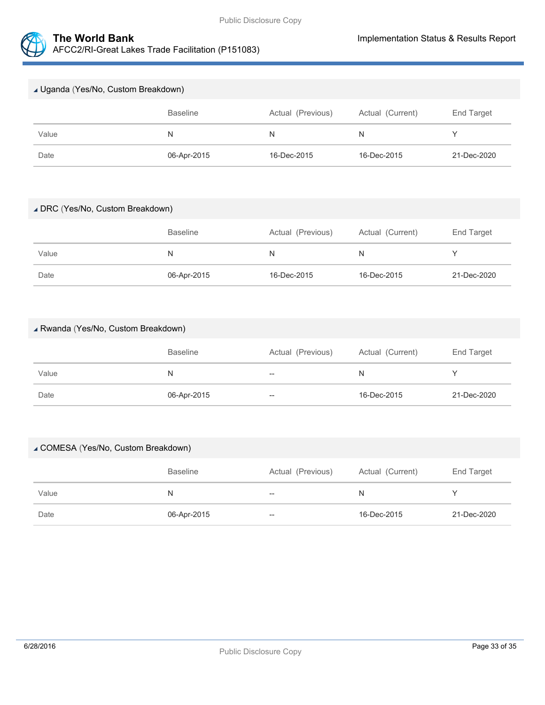

| Juganda (Yes/No, Custom Breakdown) |                 |                   |                  |             |  |  |  |
|------------------------------------|-----------------|-------------------|------------------|-------------|--|--|--|
|                                    | <b>Baseline</b> | Actual (Previous) | Actual (Current) | End Target  |  |  |  |
| Value                              | N               | N                 | N                |             |  |  |  |
| Date                               | 06-Apr-2015     | 16-Dec-2015       | 16-Dec-2015      | 21-Dec-2020 |  |  |  |

## DRC (Yes/No, Custom Breakdown)

|       | <b>Baseline</b> | Actual (Previous) | Actual (Current) | End Target  |
|-------|-----------------|-------------------|------------------|-------------|
| Value | N               | N                 | N                |             |
| Date  | 06-Apr-2015     | 16-Dec-2015       | 16-Dec-2015      | 21-Dec-2020 |

## Rwanda (Yes/No, Custom Breakdown)

|       | <b>Baseline</b> | Actual (Previous) | Actual (Current) | End Target  |
|-------|-----------------|-------------------|------------------|-------------|
| Value | N               | $-\!$             | N                |             |
| Date  | 06-Apr-2015     | $\hspace{0.05cm}$ | 16-Dec-2015      | 21-Dec-2020 |

#### COMESA (Yes/No, Custom Breakdown)

|       | <b>Baseline</b> | Actual (Previous) | Actual (Current) | End Target  |
|-------|-----------------|-------------------|------------------|-------------|
| Value | N               | $- -$             | N                |             |
| Date  | 06-Apr-2015     | $-\!$             | 16-Dec-2015      | 21-Dec-2020 |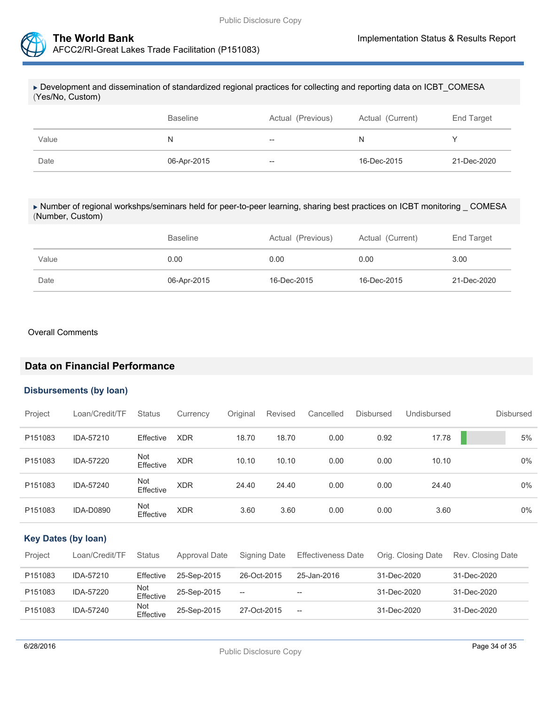



 Development and dissemination of standardized regional practices for collecting and reporting data on ICBT\_COMESA (Yes/No, Custom)

|       | <b>Baseline</b> | Actual (Previous) | Actual (Current) | End Target  |
|-------|-----------------|-------------------|------------------|-------------|
| Value | N               | $\hspace{0.05cm}$ | N                |             |
| Date  | 06-Apr-2015     | $- -$             | 16-Dec-2015      | 21-Dec-2020 |

 Number of regional workshps/seminars held for peer-to-peer learning, sharing best practices on ICBT monitoring \_ COMESA (Number, Custom)

|       | <b>Baseline</b> | Actual (Previous) | Actual (Current) | End Target  |
|-------|-----------------|-------------------|------------------|-------------|
| Value | 0.00            | 0.00              | 0.00             | 3.00        |
| Date  | 06-Apr-2015     | 16-Dec-2015       | 16-Dec-2015      | 21-Dec-2020 |

Overall Comments

## **Data on Financial Performance**

#### **Disbursements (by loan)**

| Project | Loan/Credit/TF | <b>Status</b>    | Currency   | Original | Revised | Cancelled | <b>Disbursed</b> | Undisbursed | <b>Disbursed</b> |
|---------|----------------|------------------|------------|----------|---------|-----------|------------------|-------------|------------------|
| P151083 | IDA-57210      | Effective        | <b>XDR</b> | 18.70    | 18.70   | 0.00      | 0.92             | 17.78       | 5%               |
| P151083 | IDA-57220      | Not<br>Effective | <b>XDR</b> | 10.10    | 10.10   | 0.00      | 0.00             | 10.10       | $0\%$            |
| P151083 | IDA-57240      | Not<br>Effective | XDR        | 24.40    | 24.40   | 0.00      | 0.00             | 24.40       | $0\%$            |
| P151083 | IDA-D0890      | Not<br>Effective | <b>XDR</b> | 3.60     | 3.60    | 0.00      | 0.00             | 3.60        | $0\%$            |

#### **Key Dates (by loan)**

| Project | Loan/Credit/TF | Status           | Approval Date | Signing Date             | <b>Effectiveness Date</b>   | Orig. Closing Date | Rev. Closing Date |
|---------|----------------|------------------|---------------|--------------------------|-----------------------------|--------------------|-------------------|
| P151083 | IDA-57210      | Effective        | 25-Sep-2015   | 26-Oct-2015              | 25-Jan-2016                 | 31-Dec-2020        | 31-Dec-2020       |
| P151083 | IDA-57220      | Not<br>Effective | 25-Sep-2015   | $\overline{\phantom{a}}$ | $- -$                       | 31-Dec-2020        | 31-Dec-2020       |
| P151083 | IDA-57240      | Not<br>Effective | 25-Sep-2015   | 27-Oct-2015              | $\mathcal{L}_{\mathcal{A}}$ | 31-Dec-2020        | 31-Dec-2020       |